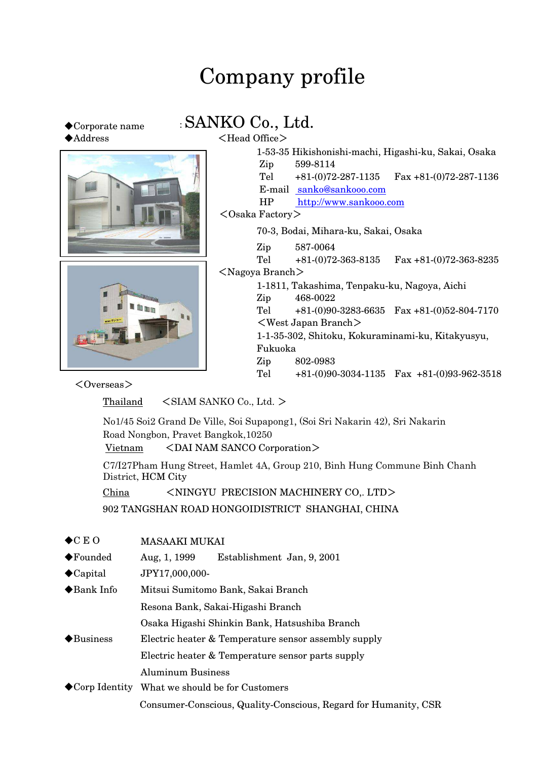# Company profile

# ◆Address <Head Office>



◆Corporate name : SANKO Co., Ltd.

|                              | 1-53-35 Hikishonishi-machi, Higashi-ku, Sakai, Osaka |                          |                                                |  |
|------------------------------|------------------------------------------------------|--------------------------|------------------------------------------------|--|
|                              | Zip                                                  | 599-8114                 |                                                |  |
|                              | Tel                                                  | $+81(0)72-287-1135$      | $\text{Fax } +81-(0)72-287-1136$               |  |
|                              |                                                      | E-mail sanko@sankooo.com |                                                |  |
|                              | HP                                                   | http://www.sankooo.com   |                                                |  |
|                              | $<$ Osaka Factory $>$                                |                          |                                                |  |
|                              | 70-3, Bodai, Mihara-ku, Sakai, Osaka                 |                          |                                                |  |
|                              | Zip                                                  | 587-0064                 |                                                |  |
|                              | Tel                                                  | $+81(0)72-363-8135$      | $\text{Fax } +81-(0)72-363-8235$               |  |
|                              | $<$ Nagoya Branch $>$                                |                          |                                                |  |
|                              | 1-1811, Takashima, Tenpaku-ku, Nagoya, Aichi         |                          |                                                |  |
|                              | Zip                                                  | 468-0022                 |                                                |  |
|                              | Tel                                                  |                          | $+81-(0)90-3283-6635$ Fax $+81-(0)52-804-7170$ |  |
|                              | $\langle$ West Japan Branch $\rangle$                |                          |                                                |  |
|                              | 1-1-35-302, Shitoku, Kokuraminami-ku, Kitakyusyu,    |                          |                                                |  |
|                              |                                                      | Fukuoka                  |                                                |  |
|                              | Zip                                                  | 802-0983                 |                                                |  |
|                              | Tel                                                  |                          | $+81-(0)90-3034-1135$ Fax $+81-(0)93-962-3518$ |  |
| $\langle$ Overgoog $\rangle$ |                                                      |                          |                                                |  |

 $<$ Overseas $>$ 

Thailand <SIAM SANKO Co., Ltd. >

No1/45 Soi2 Grand De Ville, Soi Supapong1, (Soi Sri Nakarin 42), Sri Nakarin Road Nongbon, Pravet Bangkok,10250

Vietnam <DAI NAM SANCO Corporation>

C7/I27Pham Hung Street, Hamlet 4A, Group 210, Binh Hung Commune Binh Chanh District, HCM City

China <NINGYU PRECISION MACHINERY CO,. LTD>

902 TANGSHAN ROAD HONGOIDISTRICT SHANGHAI, CHINA

| $\bigstar$ CEO           | <b>MASAAKI MUKAI</b>                                            |  |  |
|--------------------------|-----------------------------------------------------------------|--|--|
| $\blacklozenge$ Founded  | Establishment Jan, 9, 2001<br>Aug, 1, 1999                      |  |  |
| $\bigcirc$ Capital       | JPY17,000,000-                                                  |  |  |
| ◆Bank Info               | Mitsui Sumitomo Bank, Sakai Branch                              |  |  |
|                          | Resona Bank, Sakai-Higashi Branch                               |  |  |
|                          | Osaka Higashi Shinkin Bank, Hatsushiba Branch                   |  |  |
| $\blacklozenge$ Business | Electric heater & Temperature sensor assembly supply            |  |  |
|                          | Electric heater & Temperature sensor parts supply               |  |  |
|                          | <b>Aluminum Business</b>                                        |  |  |
|                          | ◆ Corp Identity What we should be for Customers                 |  |  |
|                          | Consumer-Conscious, Quality-Conscious, Regard for Humanity, CSR |  |  |
|                          |                                                                 |  |  |